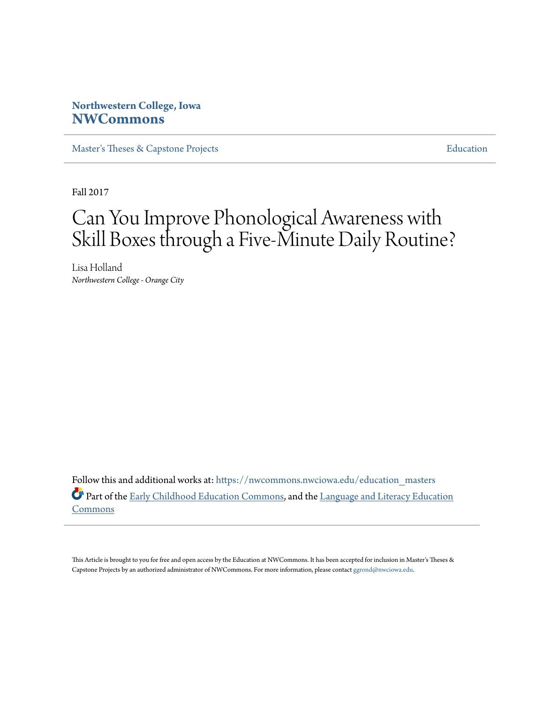### **Northwestern College, Iowa [NWCommons](https://nwcommons.nwciowa.edu?utm_source=nwcommons.nwciowa.edu%2Feducation_masters%2F64&utm_medium=PDF&utm_campaign=PDFCoverPages)**

[Master's Theses & Capstone Projects](https://nwcommons.nwciowa.edu/education_masters?utm_source=nwcommons.nwciowa.edu%2Feducation_masters%2F64&utm_medium=PDF&utm_campaign=PDFCoverPages) **[Education](https://nwcommons.nwciowa.edu/education?utm_source=nwcommons.nwciowa.edu%2Feducation_masters%2F64&utm_medium=PDF&utm_campaign=PDFCoverPages)** 

Fall 2017

# Can You Improve Phonological Awareness with Skill Boxes through a Five-Minute Daily Routine?

Lisa Holland *Northwestern College - Orange City*

Follow this and additional works at: [https://nwcommons.nwciowa.edu/education\\_masters](https://nwcommons.nwciowa.edu/education_masters?utm_source=nwcommons.nwciowa.edu%2Feducation_masters%2F64&utm_medium=PDF&utm_campaign=PDFCoverPages) Part of the [Early Childhood Education Commons,](http://network.bepress.com/hgg/discipline/1377?utm_source=nwcommons.nwciowa.edu%2Feducation_masters%2F64&utm_medium=PDF&utm_campaign=PDFCoverPages) and the [Language and Literacy Education](http://network.bepress.com/hgg/discipline/1380?utm_source=nwcommons.nwciowa.edu%2Feducation_masters%2F64&utm_medium=PDF&utm_campaign=PDFCoverPages) [Commons](http://network.bepress.com/hgg/discipline/1380?utm_source=nwcommons.nwciowa.edu%2Feducation_masters%2F64&utm_medium=PDF&utm_campaign=PDFCoverPages)

This Article is brought to you for free and open access by the Education at NWCommons. It has been accepted for inclusion in Master's Theses & Capstone Projects by an authorized administrator of NWCommons. For more information, please contact [ggrond@nwciowa.edu.](mailto:ggrond@nwciowa.edu)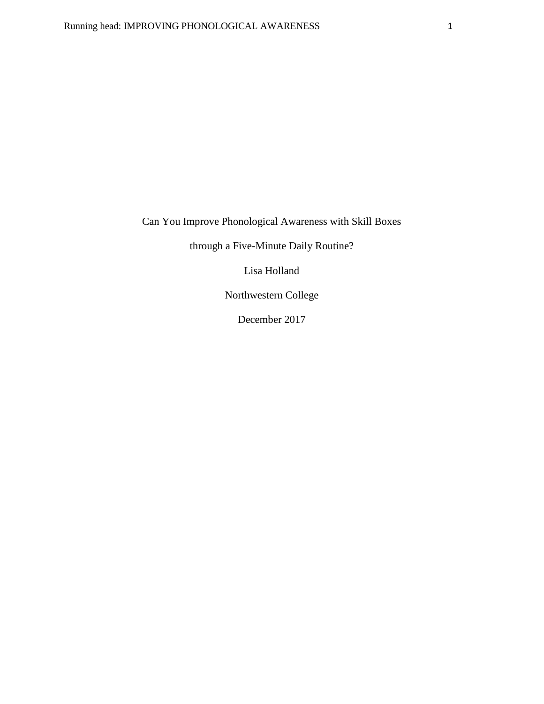Can You Improve Phonological Awareness with Skill Boxes

through a Five-Minute Daily Routine?

Lisa Holland

Northwestern College

December 2017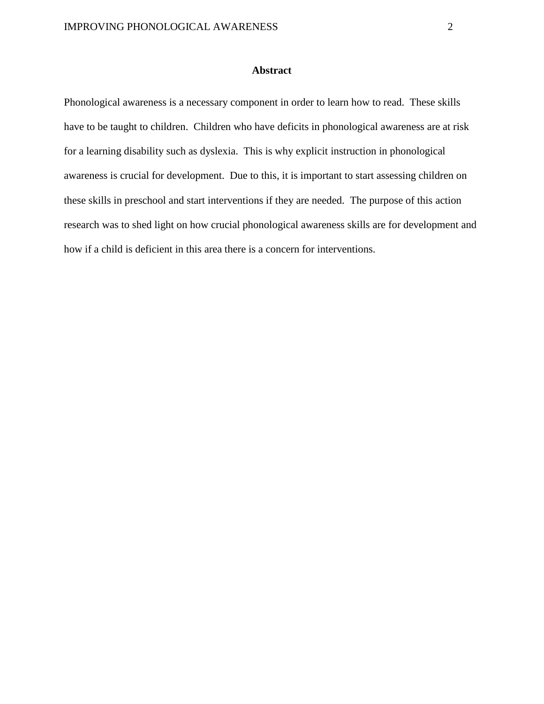### **Abstract**

Phonological awareness is a necessary component in order to learn how to read. These skills have to be taught to children. Children who have deficits in phonological awareness are at risk for a learning disability such as dyslexia. This is why explicit instruction in phonological awareness is crucial for development. Due to this, it is important to start assessing children on these skills in preschool and start interventions if they are needed. The purpose of this action research was to shed light on how crucial phonological awareness skills are for development and how if a child is deficient in this area there is a concern for interventions.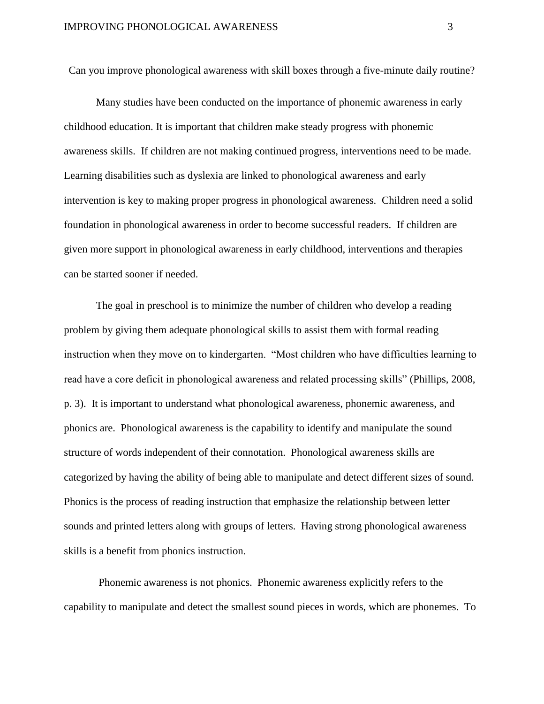Can you improve phonological awareness with skill boxes through a five-minute daily routine?

Many studies have been conducted on the importance of phonemic awareness in early childhood education. It is important that children make steady progress with phonemic awareness skills. If children are not making continued progress, interventions need to be made. Learning disabilities such as dyslexia are linked to phonological awareness and early intervention is key to making proper progress in phonological awareness. Children need a solid foundation in phonological awareness in order to become successful readers. If children are given more support in phonological awareness in early childhood, interventions and therapies can be started sooner if needed.

The goal in preschool is to minimize the number of children who develop a reading problem by giving them adequate phonological skills to assist them with formal reading instruction when they move on to kindergarten. "Most children who have difficulties learning to read have a core deficit in phonological awareness and related processing skills" (Phillips, 2008, p. 3). It is important to understand what phonological awareness, phonemic awareness, and phonics are. Phonological awareness is the capability to identify and manipulate the sound structure of words independent of their connotation. Phonological awareness skills are categorized by having the ability of being able to manipulate and detect different sizes of sound. Phonics is the process of reading instruction that emphasize the relationship between letter sounds and printed letters along with groups of letters. Having strong phonological awareness skills is a benefit from phonics instruction.

Phonemic awareness is not phonics. Phonemic awareness explicitly refers to the capability to manipulate and detect the smallest sound pieces in words, which are phonemes. To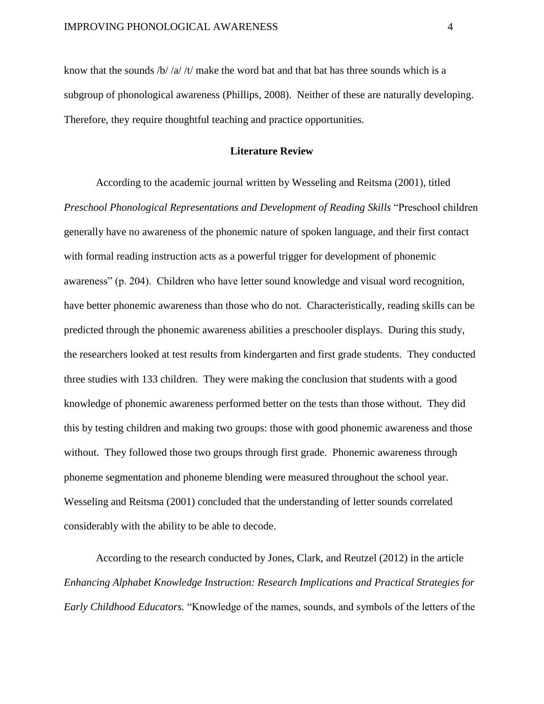know that the sounds  $\frac{h}{\alpha}$  /t/ make the word bat and that bat has three sounds which is a subgroup of phonological awareness (Phillips, 2008). Neither of these are naturally developing. Therefore, they require thoughtful teaching and practice opportunities.

### **Literature Review**

According to the academic journal written by Wesseling and Reitsma (2001), titled *Preschool Phonological Representations and Development of Reading Skills* "Preschool children generally have no awareness of the phonemic nature of spoken language, and their first contact with formal reading instruction acts as a powerful trigger for development of phonemic awareness" (p. 204). Children who have letter sound knowledge and visual word recognition, have better phonemic awareness than those who do not. Characteristically, reading skills can be predicted through the phonemic awareness abilities a preschooler displays. During this study, the researchers looked at test results from kindergarten and first grade students. They conducted three studies with 133 children. They were making the conclusion that students with a good knowledge of phonemic awareness performed better on the tests than those without. They did this by testing children and making two groups: those with good phonemic awareness and those without. They followed those two groups through first grade. Phonemic awareness through phoneme segmentation and phoneme blending were measured throughout the school year. Wesseling and Reitsma (2001) concluded that the understanding of letter sounds correlated considerably with the ability to be able to decode.

According to the research conducted by Jones, Clark, and Reutzel (2012) in the article *Enhancing Alphabet Knowledge Instruction: Research Implications and Practical Strategies for Early Childhood Educators.* "Knowledge of the names, sounds, and symbols of the letters of the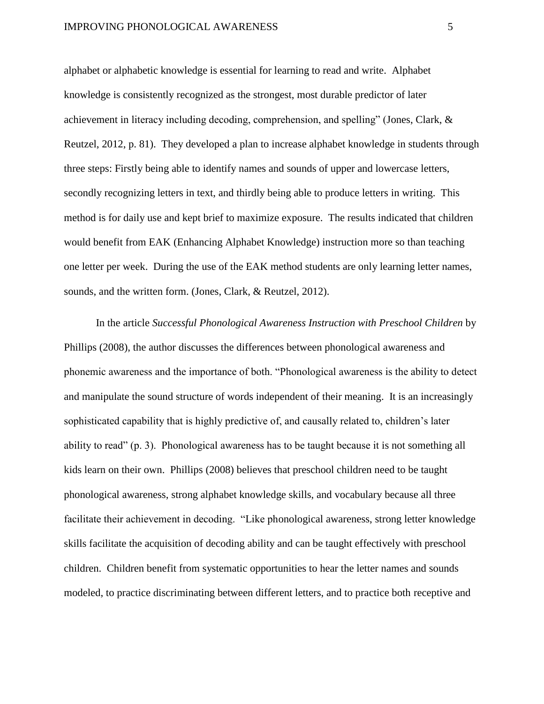alphabet or alphabetic knowledge is essential for learning to read and write. Alphabet knowledge is consistently recognized as the strongest, most durable predictor of later achievement in literacy including decoding, comprehension, and spelling" (Jones, Clark, & Reutzel, 2012, p. 81). They developed a plan to increase alphabet knowledge in students through three steps: Firstly being able to identify names and sounds of upper and lowercase letters, secondly recognizing letters in text, and thirdly being able to produce letters in writing. This method is for daily use and kept brief to maximize exposure. The results indicated that children would benefit from EAK (Enhancing Alphabet Knowledge) instruction more so than teaching one letter per week. During the use of the EAK method students are only learning letter names, sounds, and the written form. (Jones, Clark, & Reutzel, 2012).

In the article *Successful Phonological Awareness Instruction with Preschool Children* by Phillips (2008), the author discusses the differences between phonological awareness and phonemic awareness and the importance of both. "Phonological awareness is the ability to detect and manipulate the sound structure of words independent of their meaning. It is an increasingly sophisticated capability that is highly predictive of, and causally related to, children's later ability to read" (p. 3). Phonological awareness has to be taught because it is not something all kids learn on their own. Phillips (2008) believes that preschool children need to be taught phonological awareness, strong alphabet knowledge skills, and vocabulary because all three facilitate their achievement in decoding. "Like phonological awareness, strong letter knowledge skills facilitate the acquisition of decoding ability and can be taught effectively with preschool children. Children benefit from systematic opportunities to hear the letter names and sounds modeled, to practice discriminating between different letters, and to practice both receptive and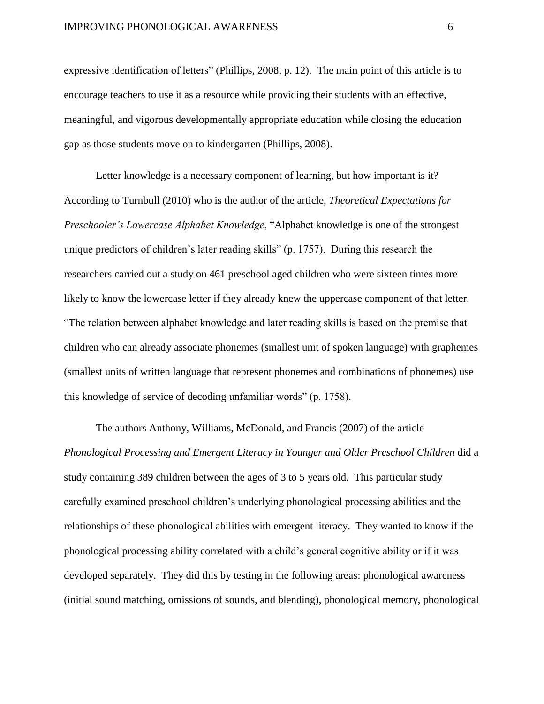expressive identification of letters" (Phillips, 2008, p. 12). The main point of this article is to encourage teachers to use it as a resource while providing their students with an effective, meaningful, and vigorous developmentally appropriate education while closing the education gap as those students move on to kindergarten (Phillips, 2008).

Letter knowledge is a necessary component of learning, but how important is it? According to Turnbull (2010) who is the author of the article, *Theoretical Expectations for Preschooler's Lowercase Alphabet Knowledge*, "Alphabet knowledge is one of the strongest unique predictors of children's later reading skills" (p. 1757). During this research the researchers carried out a study on 461 preschool aged children who were sixteen times more likely to know the lowercase letter if they already knew the uppercase component of that letter. "The relation between alphabet knowledge and later reading skills is based on the premise that children who can already associate phonemes (smallest unit of spoken language) with graphemes (smallest units of written language that represent phonemes and combinations of phonemes) use this knowledge of service of decoding unfamiliar words" (p. 1758).

The authors Anthony, Williams, McDonald, and Francis (2007) of the article *Phonological Processing and Emergent Literacy in Younger and Older Preschool Children* did a study containing 389 children between the ages of 3 to 5 years old. This particular study carefully examined preschool children's underlying phonological processing abilities and the relationships of these phonological abilities with emergent literacy. They wanted to know if the phonological processing ability correlated with a child's general cognitive ability or if it was developed separately. They did this by testing in the following areas: phonological awareness (initial sound matching, omissions of sounds, and blending), phonological memory, phonological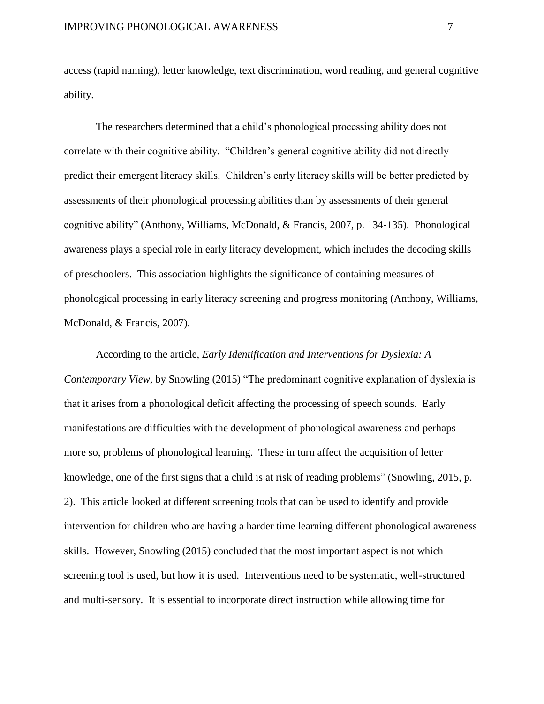access (rapid naming), letter knowledge, text discrimination, word reading, and general cognitive ability.

The researchers determined that a child's phonological processing ability does not correlate with their cognitive ability. "Children's general cognitive ability did not directly predict their emergent literacy skills. Children's early literacy skills will be better predicted by assessments of their phonological processing abilities than by assessments of their general cognitive ability" (Anthony, Williams, McDonald, & Francis, 2007, p. 134-135). Phonological awareness plays a special role in early literacy development, which includes the decoding skills of preschoolers. This association highlights the significance of containing measures of phonological processing in early literacy screening and progress monitoring (Anthony, Williams, McDonald, & Francis, 2007).

According to the article, *Early Identification and Interventions for Dyslexia: A Contemporary View,* by Snowling (2015) "The predominant cognitive explanation of dyslexia is that it arises from a phonological deficit affecting the processing of speech sounds. Early manifestations are difficulties with the development of phonological awareness and perhaps more so, problems of phonological learning. These in turn affect the acquisition of letter knowledge, one of the first signs that a child is at risk of reading problems" (Snowling, 2015, p. 2). This article looked at different screening tools that can be used to identify and provide intervention for children who are having a harder time learning different phonological awareness skills. However, Snowling (2015) concluded that the most important aspect is not which screening tool is used, but how it is used. Interventions need to be systematic, well-structured and multi-sensory. It is essential to incorporate direct instruction while allowing time for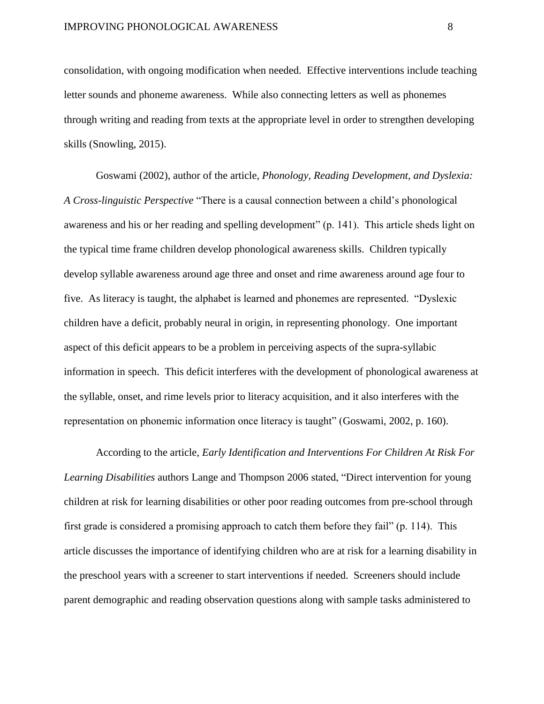consolidation, with ongoing modification when needed. Effective interventions include teaching letter sounds and phoneme awareness. While also connecting letters as well as phonemes through writing and reading from texts at the appropriate level in order to strengthen developing skills (Snowling, 2015).

Goswami (2002), author of the article, *Phonology, Reading Development, and Dyslexia: A Cross-linguistic Perspective* "There is a causal connection between a child's phonological awareness and his or her reading and spelling development" (p. 141). This article sheds light on the typical time frame children develop phonological awareness skills. Children typically develop syllable awareness around age three and onset and rime awareness around age four to five. As literacy is taught, the alphabet is learned and phonemes are represented. "Dyslexic children have a deficit, probably neural in origin, in representing phonology. One important aspect of this deficit appears to be a problem in perceiving aspects of the supra-syllabic information in speech. This deficit interferes with the development of phonological awareness at the syllable, onset, and rime levels prior to literacy acquisition, and it also interferes with the representation on phonemic information once literacy is taught" (Goswami, 2002, p. 160).

According to the article, *Early Identification and Interventions For Children At Risk For Learning Disabilities* authors Lange and Thompson 2006 stated, "Direct intervention for young children at risk for learning disabilities or other poor reading outcomes from pre-school through first grade is considered a promising approach to catch them before they fail" (p. 114). This article discusses the importance of identifying children who are at risk for a learning disability in the preschool years with a screener to start interventions if needed. Screeners should include parent demographic and reading observation questions along with sample tasks administered to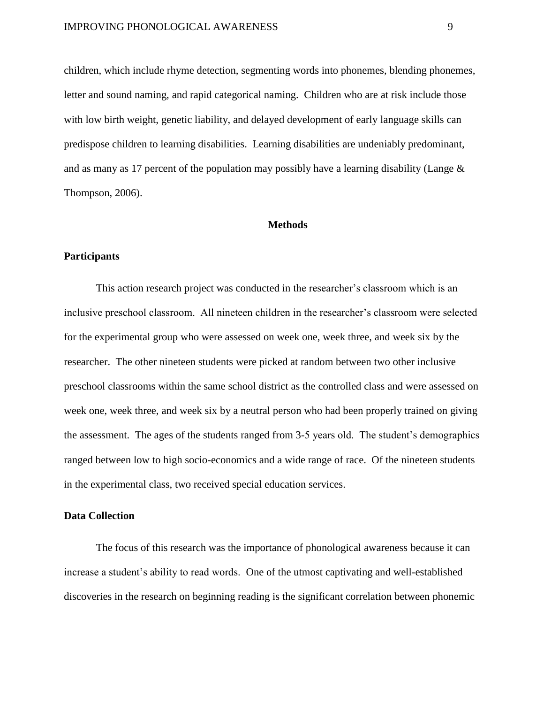children, which include rhyme detection, segmenting words into phonemes, blending phonemes, letter and sound naming, and rapid categorical naming. Children who are at risk include those with low birth weight, genetic liability, and delayed development of early language skills can predispose children to learning disabilities. Learning disabilities are undeniably predominant, and as many as 17 percent of the population may possibly have a learning disability (Lange & Thompson, 2006).

#### **Methods**

### **Participants**

This action research project was conducted in the researcher's classroom which is an inclusive preschool classroom. All nineteen children in the researcher's classroom were selected for the experimental group who were assessed on week one, week three, and week six by the researcher. The other nineteen students were picked at random between two other inclusive preschool classrooms within the same school district as the controlled class and were assessed on week one, week three, and week six by a neutral person who had been properly trained on giving the assessment. The ages of the students ranged from 3-5 years old. The student's demographics ranged between low to high socio-economics and a wide range of race. Of the nineteen students in the experimental class, two received special education services.

### **Data Collection**

The focus of this research was the importance of phonological awareness because it can increase a student's ability to read words. One of the utmost captivating and well-established discoveries in the research on beginning reading is the significant correlation between phonemic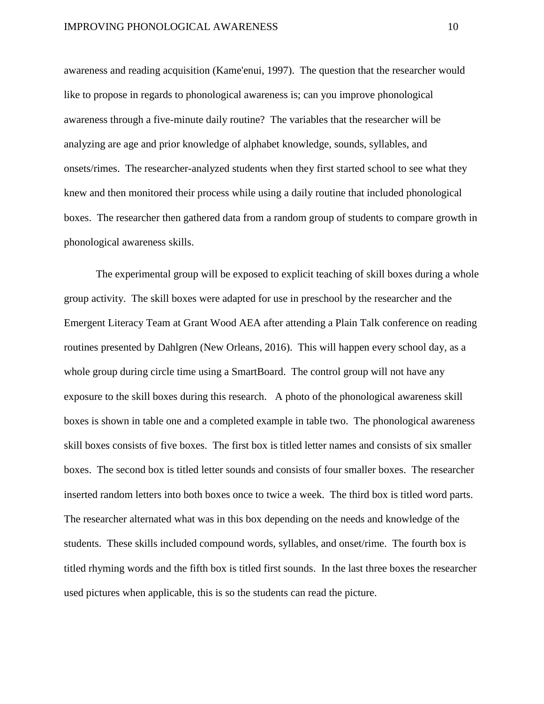awareness and reading acquisition (Kame'enui, 1997). The question that the researcher would like to propose in regards to phonological awareness is; can you improve phonological awareness through a five-minute daily routine? The variables that the researcher will be analyzing are age and prior knowledge of alphabet knowledge, sounds, syllables, and onsets/rimes. The researcher-analyzed students when they first started school to see what they knew and then monitored their process while using a daily routine that included phonological boxes. The researcher then gathered data from a random group of students to compare growth in phonological awareness skills.

The experimental group will be exposed to explicit teaching of skill boxes during a whole group activity. The skill boxes were adapted for use in preschool by the researcher and the Emergent Literacy Team at Grant Wood AEA after attending a Plain Talk conference on reading routines presented by Dahlgren (New Orleans, 2016). This will happen every school day, as a whole group during circle time using a SmartBoard. The control group will not have any exposure to the skill boxes during this research. A photo of the phonological awareness skill boxes is shown in table one and a completed example in table two. The phonological awareness skill boxes consists of five boxes. The first box is titled letter names and consists of six smaller boxes. The second box is titled letter sounds and consists of four smaller boxes. The researcher inserted random letters into both boxes once to twice a week. The third box is titled word parts. The researcher alternated what was in this box depending on the needs and knowledge of the students. These skills included compound words, syllables, and onset/rime. The fourth box is titled rhyming words and the fifth box is titled first sounds. In the last three boxes the researcher used pictures when applicable, this is so the students can read the picture.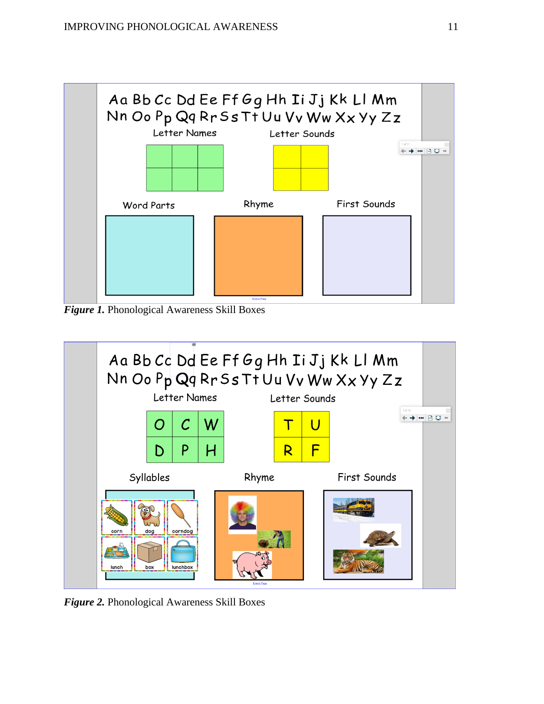

*Figure 1.* Phonological Awareness Skill Boxes



*Figure 2.* Phonological Awareness Skill Boxes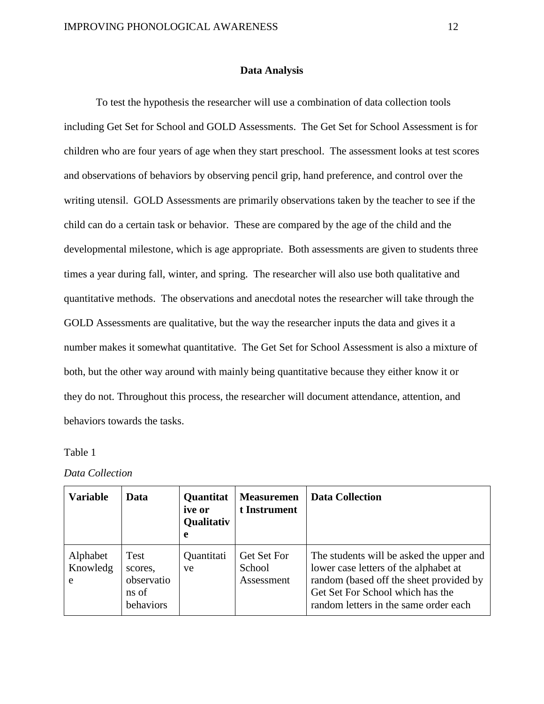### **Data Analysis**

To test the hypothesis the researcher will use a combination of data collection tools including Get Set for School and GOLD Assessments. The Get Set for School Assessment is for children who are four years of age when they start preschool. The assessment looks at test scores and observations of behaviors by observing pencil grip, hand preference, and control over the writing utensil. GOLD Assessments are primarily observations taken by the teacher to see if the child can do a certain task or behavior. These are compared by the age of the child and the developmental milestone, which is age appropriate. Both assessments are given to students three times a year during fall, winter, and spring. The researcher will also use both qualitative and quantitative methods. The observations and anecdotal notes the researcher will take through the GOLD Assessments are qualitative, but the way the researcher inputs the data and gives it a number makes it somewhat quantitative. The Get Set for School Assessment is also a mixture of both, but the other way around with mainly being quantitative because they either know it or they do not. Throughout this process, the researcher will document attendance, attention, and behaviors towards the tasks.

### Table 1

### *Data Collection*

| <b>Variable</b>           | Data                                                | Quantitat<br><i>ive</i> or<br><b>Qualitativ</b><br>e | <b>Measuremen</b><br>t Instrument   | <b>Data Collection</b>                                                                                                                                                                                    |
|---------------------------|-----------------------------------------------------|------------------------------------------------------|-------------------------------------|-----------------------------------------------------------------------------------------------------------------------------------------------------------------------------------------------------------|
| Alphabet<br>Knowledg<br>e | Test<br>scores.<br>observatio<br>ns of<br>behaviors | Quantitati<br>ve                                     | Get Set For<br>School<br>Assessment | The students will be asked the upper and<br>lower case letters of the alphabet at<br>random (based off the sheet provided by<br>Get Set For School which has the<br>random letters in the same order each |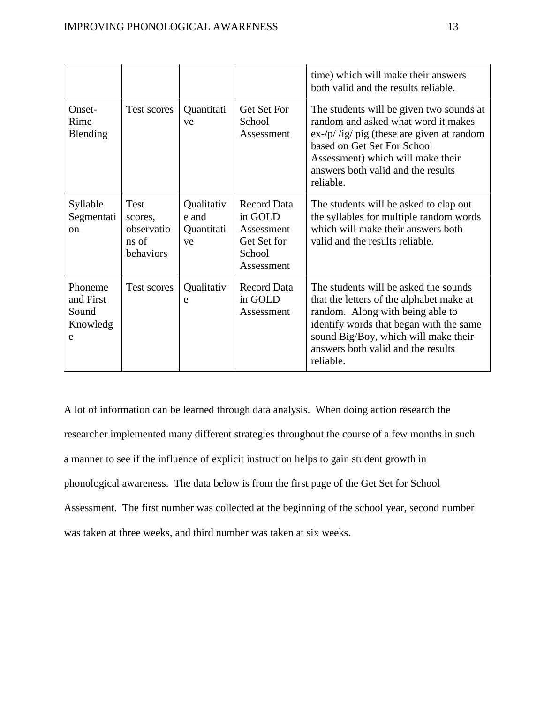|                                                |                                                     |                                         |                                                                                    | time) which will make their answers<br>both valid and the results reliable.                                                                                                                                                                                 |
|------------------------------------------------|-----------------------------------------------------|-----------------------------------------|------------------------------------------------------------------------------------|-------------------------------------------------------------------------------------------------------------------------------------------------------------------------------------------------------------------------------------------------------------|
| Onset-<br>Rime<br>Blending                     | Test scores                                         | Quantitati<br>ve                        | Get Set For<br>School<br>Assessment                                                | The students will be given two sounds at<br>random and asked what word it makes<br>$ex$ -/p//ig/pig (these are given at random<br>based on Get Set For School<br>Assessment) which will make their<br>answers both valid and the results<br>reliable.       |
| Syllable<br>Segmentati<br><sub>on</sub>        | Test<br>scores,<br>observatio<br>ns of<br>behaviors | Qualitativ<br>e and<br>Quantitati<br>ve | <b>Record Data</b><br>in GOLD<br>Assessment<br>Get Set for<br>School<br>Assessment | The students will be asked to clap out<br>the syllables for multiple random words<br>which will make their answers both<br>valid and the results reliable.                                                                                                  |
| Phoneme<br>and First<br>Sound<br>Knowledg<br>e | Test scores                                         | Qualitativ<br>e                         | <b>Record Data</b><br>in GOLD<br>Assessment                                        | The students will be asked the sounds<br>that the letters of the alphabet make at<br>random. Along with being able to<br>identify words that began with the same<br>sound Big/Boy, which will make their<br>answers both valid and the results<br>reliable. |

A lot of information can be learned through data analysis. When doing action research the researcher implemented many different strategies throughout the course of a few months in such a manner to see if the influence of explicit instruction helps to gain student growth in phonological awareness. The data below is from the first page of the Get Set for School Assessment. The first number was collected at the beginning of the school year, second number was taken at three weeks, and third number was taken at six weeks.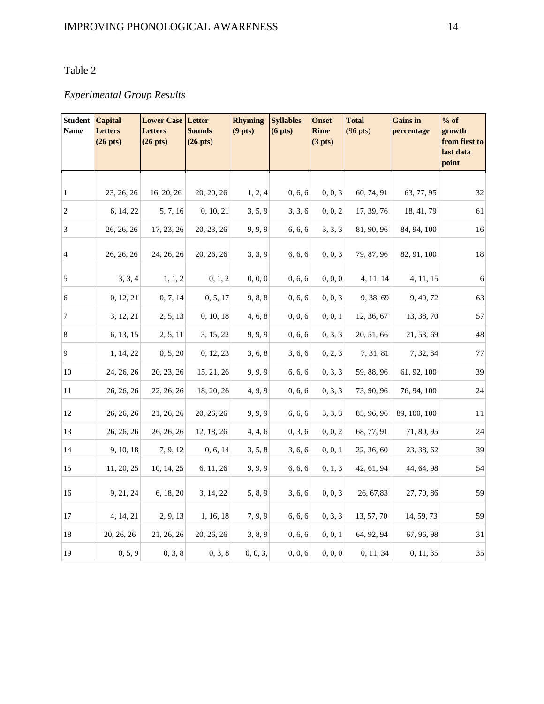### Table 2

## *Experimental Group Results*

| <b>Student</b><br><b>Name</b> | <b>Capital</b><br>Letters<br>$(26$ pts $)$ | <b>Lower Case Letter</b><br><b>Letters</b><br>$(26$ pts $)$ | <b>Sounds</b><br>$(26$ pts $)$ | <b>Rhyming</b><br>(9 <sub>pts</sub> ) | <b>Syllables</b><br>(6 <sub>pts</sub> ) | <b>Onset</b><br>Rime<br>(3 <sub>pts</sub> ) | <b>Total</b><br>$(96 \text{ pts})$ | <b>Gains</b> in<br>percentage | $%$ of<br>growth<br>from first to<br>last data<br>point |
|-------------------------------|--------------------------------------------|-------------------------------------------------------------|--------------------------------|---------------------------------------|-----------------------------------------|---------------------------------------------|------------------------------------|-------------------------------|---------------------------------------------------------|
|                               |                                            |                                                             |                                |                                       |                                         |                                             |                                    |                               |                                                         |
| $\vert$                       | 23, 26, 26                                 | 16, 20, 26                                                  | 20, 20, 26                     | 1, 2, 4                               | 0, 6, 6                                 | 0, 0, 3                                     | 60, 74, 91                         | 63, 77, 95                    | 32                                                      |
| $\overline{2}$                | 6, 14, 22                                  | 5, 7, 16                                                    | 0, 10, 21                      | 3, 5, 9                               | 3, 3, 6                                 | 0, 0, 2                                     | 17, 39, 76                         | 18, 41, 79                    | 61                                                      |
| $\overline{3}$                | 26, 26, 26                                 | 17, 23, 26                                                  | 20, 23, 26                     | 9, 9, 9                               | 6, 6, 6                                 | 3, 3, 3                                     | 81, 90, 96                         | 84, 94, 100                   | 16                                                      |
| $\overline{4}$                | 26, 26, 26                                 | 24, 26, 26                                                  | 20, 26, 26                     | 3, 3, 9                               | 6, 6, 6                                 | 0, 0, 3                                     | 79, 87, 96                         | 82, 91, 100                   | 18                                                      |
| 5                             | 3, 3, 4                                    | 1, 1, 2                                                     | 0, 1, 2                        | 0, 0, 0                               | 0, 6, 6                                 | 0, 0, 0                                     | 4, 11, 14                          | 4, 11, 15                     | $\sqrt{6}$                                              |
| $\overline{6}$                | 0, 12, 21                                  | 0, 7, 14                                                    | 0, 5, 17                       | 9, 8, 8                               | 0, 6, 6                                 | 0, 0, 3                                     | 9, 38, 69                          | 9, 40, 72                     | 63                                                      |
| 7                             | 3, 12, 21                                  | 2, 5, 13                                                    | 0, 10, 18                      | 4, 6, 8                               | 0, 0, 6                                 | 0, 0, 1                                     | 12, 36, 67                         | 13, 38, 70                    | 57                                                      |
| $\bf 8$                       | 6, 13, 15                                  | 2, 5, 11                                                    | 3, 15, 22                      | 9, 9, 9                               | 0, 6, 6                                 | 0, 3, 3                                     | 20, 51, 66                         | 21, 53, 69                    | 48                                                      |
| $\overline{9}$                | 1, 14, 22                                  | 0, 5, 20                                                    | 0, 12, 23                      | 3, 6, 8                               | 3, 6, 6                                 | 0, 2, 3                                     | 7, 31, 81                          | 7, 32, 84                     | $77\,$                                                  |
| $10\,$                        | 24, 26, 26                                 | 20, 23, 26                                                  | 15, 21, 26                     | 9, 9, 9                               | 6, 6, 6                                 | 0, 3, 3                                     | 59, 88, 96                         | 61, 92, 100                   | 39                                                      |
| 11                            | 26, 26, 26                                 | 22, 26, 26                                                  | 18, 20, 26                     | 4, 9, 9                               | 0, 6, 6                                 | 0, 3, 3                                     | 73, 90, 96                         | 76, 94, 100                   | 24                                                      |
| 12                            | 26, 26, 26                                 | 21, 26, 26                                                  | 20, 26, 26                     | 9, 9, 9                               | 6, 6, 6                                 | 3, 3, 3                                     | 85, 96, 96                         | 89, 100, 100                  | 11                                                      |
| 13                            | 26, 26, 26                                 | 26, 26, 26                                                  | 12, 18, 26                     | 4, 4, 6                               | 0, 3, 6                                 | 0, 0, 2                                     | 68, 77, 91                         | 71, 80, 95                    | 24                                                      |
| 14                            | 9, 10, 18                                  | 7, 9, 12                                                    | 0, 6, 14                       | 3, 5, 8                               | 3, 6, 6                                 | 0, 0, 1                                     | 22, 36, 60                         | 23, 38, 62                    | 39                                                      |
| 15                            | 11, 20, 25                                 | 10, 14, 25                                                  | 6, 11, 26                      | 9, 9, 9                               | 6, 6, 6                                 | 0, 1, 3                                     | 42, 61, 94                         | 44, 64, 98                    | 54                                                      |
| 16                            | 9, 21, 24                                  | 6, 18, 20                                                   | 3, 14, 22                      | 5, 8, 9                               | 3, 6, 6                                 | 0, 0, 3                                     | 26, 67, 83                         | 27, 70, 86                    | 59                                                      |
| $17\,$                        | 4, 14, 21                                  | 2, 9, 13                                                    | 1, 16, 18                      | 7, 9, 9                               | 6, 6, 6                                 | 0, 3, 3                                     | 13, 57, 70                         | 14, 59, 73                    | 59                                                      |
| 18                            | 20, 26, 26                                 | 21, 26, 26                                                  | 20, 26, 26                     | 3, 8, 9                               | 0, 6, 6                                 | 0, 0, 1                                     | 64, 92, 94                         | 67, 96, 98                    | 31                                                      |
| 19                            | 0, 5, 9                                    | 0, 3, 8                                                     | 0, 3, 8                        | 0, 0, 3,                              | 0, 0, 6                                 | 0, 0, 0                                     | 0, 11, 34                          | 0, 11, 35                     | 35                                                      |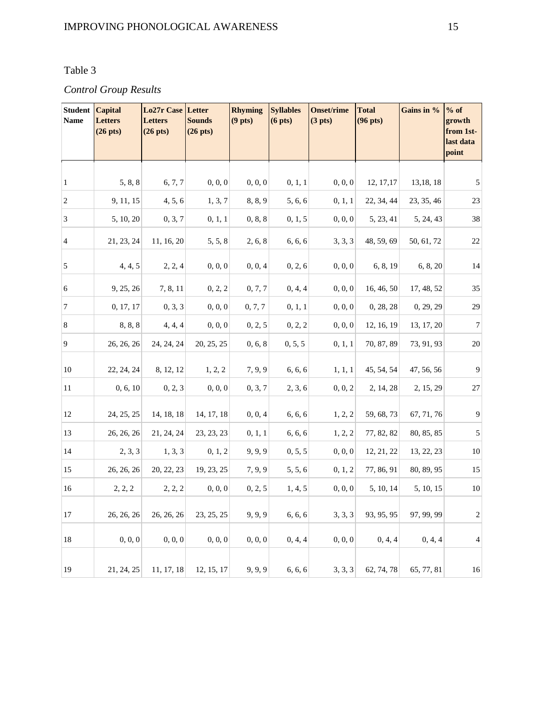### Table 3

### *Control Group Results*

| <b>Student Capital</b><br><b>Name</b> | <b>Letters</b><br>$(26$ pts) | <b>Lo27r Case Letter</b><br><b>Letters</b><br>$(26$ pts $)$ | <b>Sounds</b><br>$(26$ pts $)$ | <b>Rhyming</b><br>(9 <sub>pts</sub> ) | <b>Syllables</b><br>(6 <sub>pts</sub> ) | <b>Onset/rime</b><br>(3 <sub>pts</sub> ) | <b>Total</b><br>$(96$ pts $)$ | Gains in % | $%$ of<br>growth<br>from 1st-<br>last data<br>point |
|---------------------------------------|------------------------------|-------------------------------------------------------------|--------------------------------|---------------------------------------|-----------------------------------------|------------------------------------------|-------------------------------|------------|-----------------------------------------------------|
|                                       |                              |                                                             |                                |                                       |                                         |                                          |                               |            |                                                     |
| $\vert$ 1                             | 5, 8, 8                      | 6, 7, 7                                                     | 0, 0, 0                        | 0, 0, 0                               | 0, 1, 1                                 | 0, 0, 0                                  | 12, 17, 17                    | 13,18,18   | 5                                                   |
| $\overline{2}$                        | 9, 11, 15                    | 4, 5, 6                                                     | 1, 3, 7                        | 8, 8, 9                               | 5, 6, 6                                 | 0, 1, 1                                  | 22, 34, 44                    | 23, 35, 46 | 23                                                  |
| $\overline{3}$                        | 5, 10, 20                    | 0, 3, 7                                                     | 0, 1, 1                        | 0, 8, 8                               | 0, 1, 5                                 | 0, 0, 0                                  | 5, 23, 41                     | 5, 24, 43  | 38                                                  |
| $\overline{4}$                        | 21, 23, 24                   | 11, 16, 20                                                  | 5, 5, 8                        | 2, 6, 8                               | 6, 6, 6                                 | 3, 3, 3                                  | 48, 59, 69                    | 50, 61, 72 | $22\,$                                              |
| 5                                     | 4, 4, 5                      | 2, 2, 4                                                     | 0, 0, 0                        | 0, 0, 4                               | 0, 2, 6                                 | 0, 0, 0                                  | 6, 8, 19                      | 6, 8, 20   | 14                                                  |
| 6                                     | 9, 25, 26                    | 7, 8, 11                                                    | 0, 2, 2                        | 0, 7, 7                               | 0, 4, 4                                 | 0, 0, 0                                  | 16, 46, 50                    | 17, 48, 52 | 35                                                  |
| $\overline{7}$                        | 0, 17, 17                    | 0, 3, 3                                                     | 0, 0, 0                        | 0, 7, 7                               | 0, 1, 1                                 | 0, 0, 0                                  | 0, 28, 28                     | 0, 29, 29  | 29                                                  |
| $\,8\,$                               | 8, 8, 8                      | 4, 4, 4                                                     | 0, 0, 0                        | 0, 2, 5                               | 0, 2, 2                                 | 0, 0, 0                                  | 12, 16, 19                    | 13, 17, 20 | $\boldsymbol{7}$                                    |
| $\overline{9}$                        | 26, 26, 26                   | 24, 24, 24                                                  | 20, 25, 25                     | 0, 6, 8                               | 0, 5, 5                                 | 0, 1, 1                                  | 70, 87, 89                    | 73, 91, 93 | $20\,$                                              |
| 10                                    | 22, 24, 24                   | 8, 12, 12                                                   | 1, 2, 2                        | 7, 9, 9                               | 6, 6, 6                                 | 1, 1, 1                                  | 45, 54, 54                    | 47, 56, 56 | 9                                                   |
| 11                                    | 0, 6, 10                     | 0, 2, 3                                                     | 0, 0, 0                        | 0, 3, 7                               | 2, 3, 6                                 | 0, 0, 2                                  | 2, 14, 28                     | 2, 15, 29  | 27                                                  |
| 12                                    | 24, 25, 25                   | 14, 18, 18                                                  | 14, 17, 18                     | 0, 0, 4                               | 6, 6, 6                                 | 1, 2, 2                                  | 59, 68, 73                    | 67, 71, 76 | 9                                                   |
| 13                                    | 26, 26, 26                   | 21, 24, 24                                                  | 23, 23, 23                     | 0, 1, 1                               | 6, 6, 6                                 | 1, 2, 2                                  | 77, 82, 82                    | 80, 85, 85 | $\sqrt{5}$                                          |
| 14                                    | 2, 3, 3                      | 1, 3, 3                                                     | 0, 1, 2                        | 9, 9, 9                               | 0, 5, 5                                 | 0, 0, 0                                  | 12, 21, 22                    | 13, 22, 23 | 10                                                  |
| 15                                    | 26, 26, 26                   | 20, 22, 23                                                  | 19, 23, 25                     | 7, 9, 9                               | 5, 5, 6                                 | 0, 1, 2                                  | 77, 86, 91                    | 80, 89, 95 | 15                                                  |
| 16                                    | 2, 2, 2                      | 2, 2, 2                                                     | 0, 0, 0                        | 0, 2, 5                               | 1, 4, 5                                 | 0, 0, 0                                  | 5, 10, 14                     | 5, 10, 15  | 10                                                  |
| 17                                    | 26, 26, 26                   | 26, 26, 26                                                  | 23, 25, 25                     | 9, 9, 9                               | 6, 6, 6                                 | 3, 3, 3                                  | 93, 95, 95                    | 97, 99, 99 | $\overline{\mathbf{c}}$                             |
| 18                                    | 0, 0, 0                      | 0, 0, 0                                                     | 0, 0, 0                        | 0, 0, 0                               | 0, 4, 4                                 | 0, 0, 0                                  | 0, 4, 4                       | 0, 4, 4    | 4                                                   |
| 19                                    | 21, 24, 25                   | 11, 17, 18                                                  | 12, 15, 17                     | 9, 9, 9                               | 6, 6, 6                                 | 3, 3, 3                                  | 62, 74, 78                    | 65, 77, 81 | 16                                                  |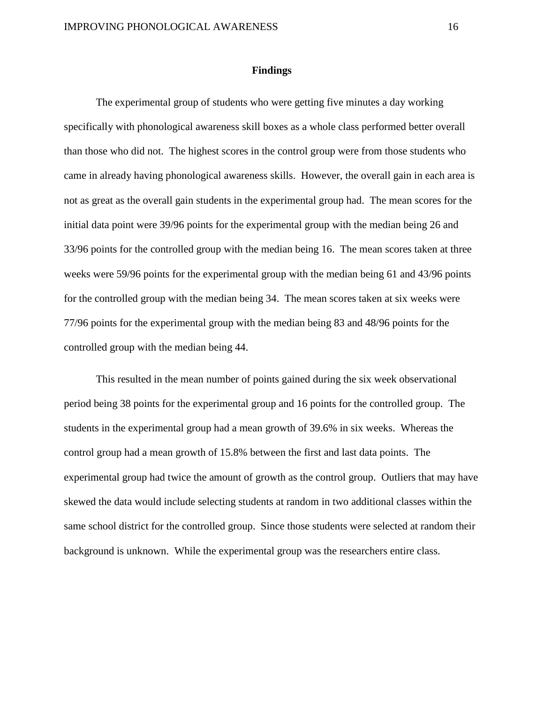### **Findings**

The experimental group of students who were getting five minutes a day working specifically with phonological awareness skill boxes as a whole class performed better overall than those who did not. The highest scores in the control group were from those students who came in already having phonological awareness skills. However, the overall gain in each area is not as great as the overall gain students in the experimental group had. The mean scores for the initial data point were 39/96 points for the experimental group with the median being 26 and 33/96 points for the controlled group with the median being 16. The mean scores taken at three weeks were 59/96 points for the experimental group with the median being 61 and 43/96 points for the controlled group with the median being 34. The mean scores taken at six weeks were 77/96 points for the experimental group with the median being 83 and 48/96 points for the controlled group with the median being 44.

This resulted in the mean number of points gained during the six week observational period being 38 points for the experimental group and 16 points for the controlled group. The students in the experimental group had a mean growth of 39.6% in six weeks. Whereas the control group had a mean growth of 15.8% between the first and last data points. The experimental group had twice the amount of growth as the control group. Outliers that may have skewed the data would include selecting students at random in two additional classes within the same school district for the controlled group. Since those students were selected at random their background is unknown. While the experimental group was the researchers entire class.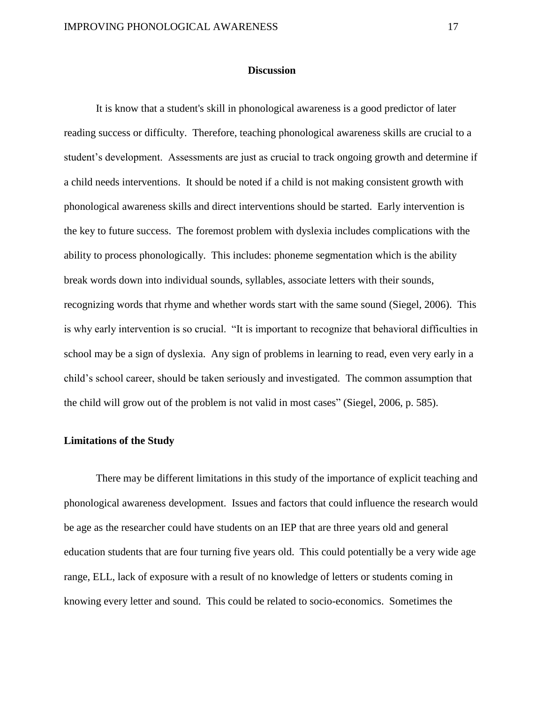### **Discussion**

It is know that a student's skill in phonological awareness is a good predictor of later reading success or difficulty. Therefore, teaching phonological awareness skills are crucial to a student's development. Assessments are just as crucial to track ongoing growth and determine if a child needs interventions. It should be noted if a child is not making consistent growth with phonological awareness skills and direct interventions should be started. Early intervention is the key to future success. The foremost problem with dyslexia includes complications with the ability to process phonologically. This includes: phoneme segmentation which is the ability break words down into individual sounds, syllables, associate letters with their sounds, recognizing words that rhyme and whether words start with the same sound (Siegel, 2006). This is why early intervention is so crucial. "It is important to recognize that behavioral difficulties in school may be a sign of dyslexia. Any sign of problems in learning to read, even very early in a child's school career, should be taken seriously and investigated. The common assumption that the child will grow out of the problem is not valid in most cases" (Siegel, 2006, p. 585).

#### **Limitations of the Study**

There may be different limitations in this study of the importance of explicit teaching and phonological awareness development. Issues and factors that could influence the research would be age as the researcher could have students on an IEP that are three years old and general education students that are four turning five years old. This could potentially be a very wide age range, ELL, lack of exposure with a result of no knowledge of letters or students coming in knowing every letter and sound. This could be related to socio-economics. Sometimes the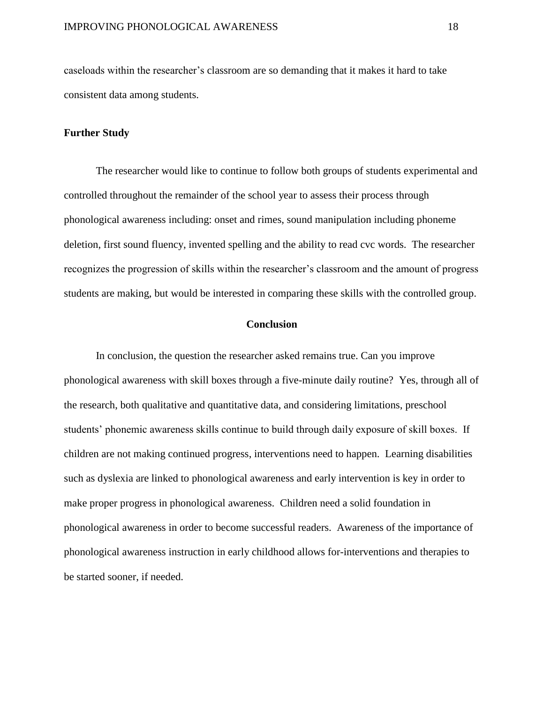caseloads within the researcher's classroom are so demanding that it makes it hard to take consistent data among students.

### **Further Study**

The researcher would like to continue to follow both groups of students experimental and controlled throughout the remainder of the school year to assess their process through phonological awareness including: onset and rimes, sound manipulation including phoneme deletion, first sound fluency, invented spelling and the ability to read cvc words. The researcher recognizes the progression of skills within the researcher's classroom and the amount of progress students are making, but would be interested in comparing these skills with the controlled group.

### **Conclusion**

In conclusion, the question the researcher asked remains true. Can you improve phonological awareness with skill boxes through a five-minute daily routine? Yes, through all of the research, both qualitative and quantitative data, and considering limitations, preschool students' phonemic awareness skills continue to build through daily exposure of skill boxes. If children are not making continued progress, interventions need to happen. Learning disabilities such as dyslexia are linked to phonological awareness and early intervention is key in order to make proper progress in phonological awareness. Children need a solid foundation in phonological awareness in order to become successful readers. Awareness of the importance of phonological awareness instruction in early childhood allows for-interventions and therapies to be started sooner, if needed.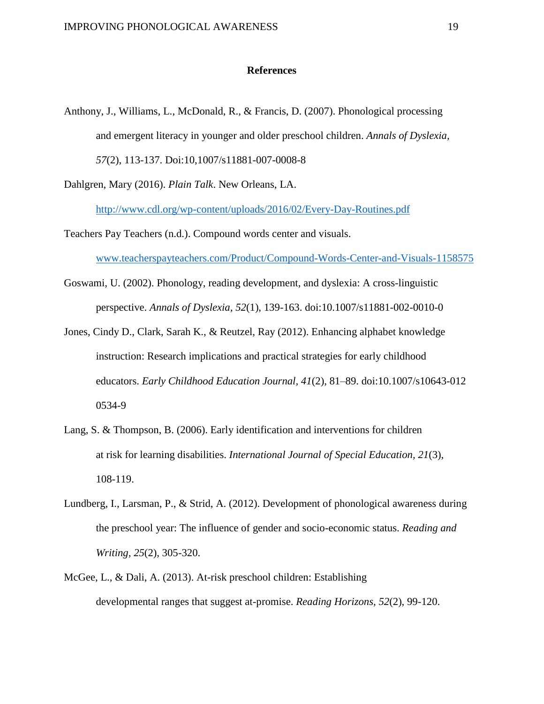### **References**

Anthony, J., Williams, L., McDonald, R., & Francis, D. (2007). Phonological processing and emergent literacy in younger and older preschool children. *Annals of Dyslexia, 57*(2), 113-137. Doi:10,1007/s11881-007-0008-8

Dahlgren, Mary (2016). *Plain Talk*. New Orleans, LA.

<http://www.cdl.org/wp-content/uploads/2016/02/Every-Day-Routines.pdf>

Teachers Pay Teachers (n.d.). Compound words center and visuals.

[www.teacherspayteachers.com/Product/Compound-Words-Center-and-Visuals-1158575](http://www.teacherspayteachers.com/Product/Compound-Words-Center-and-Visuals-1158575)

- Goswami, U. (2002). Phonology, reading development, and dyslexia: A cross-linguistic perspective. *Annals of Dyslexia, 52*(1), 139-163. doi:10.1007/s11881-002-0010-0
- Jones, Cindy D., Clark, Sarah K., & Reutzel, Ray (2012). Enhancing alphabet knowledge instruction: Research implications and practical strategies for early childhood educators. *Early Childhood Education Journal, 41*(2), 81–89. doi:10.1007/s10643-012 0534-9
- Lang, S. & Thompson, B. (2006). Early identification and interventions for children at risk for learning disabilities. *International Journal of Special Education, 21*(3), 108-119.
- Lundberg, I., Larsman, P., & Strid, A. (2012). Development of phonological awareness during the preschool year: The influence of gender and socio-economic status. *Reading and Writing, 25*(2), 305-320.
- McGee, L., & Dali, A. (2013). At-risk preschool children: Establishing developmental ranges that suggest at-promise. *Reading Horizons, 52*(2), 99-120.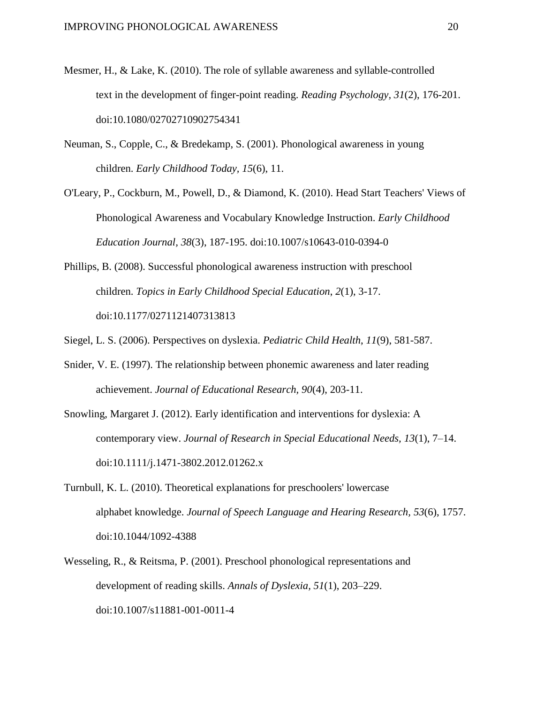- Mesmer, H., & Lake, K. (2010). The role of syllable awareness and syllable-controlled text in the development of finger-point reading. *Reading Psychology, 31*(2), 176-201. doi:10.1080/02702710902754341
- Neuman, S., Copple, C., & Bredekamp, S. (2001). Phonological awareness in young children. *Early Childhood Today, 15*(6), 11.
- O'Leary, P., Cockburn, M., Powell, D., & Diamond, K. (2010). Head Start Teachers' Views of Phonological Awareness and Vocabulary Knowledge Instruction. *Early Childhood Education Journal, 38*(3), 187-195. doi:10.1007/s10643-010-0394-0
- Phillips, B. (2008). Successful phonological awareness instruction with preschool children. *Topics in Early Childhood Special Education*, *2*(1), 3-17. doi:10.1177/0271121407313813
- Siegel, L. S. (2006). Perspectives on dyslexia. *Pediatric Child Health*, *11*(9), 581-587.
- Snider, V. E. (1997). The relationship between phonemic awareness and later reading achievement. *Journal of Educational Research, 90*(4), 203-11.
- Snowling, Margaret J. (2012). Early identification and interventions for dyslexia: A contemporary view. *Journal of Research in Special Educational Needs, 13*(1), 7–14. doi:10.1111/j.1471-3802.2012.01262.x
- Turnbull, K. L. (2010). Theoretical explanations for preschoolers' lowercase alphabet knowledge. *Journal of Speech Language and Hearing Research, 53*(6), 1757. doi:10.1044/1092-4388
- Wesseling, R., & Reitsma, P. (2001). Preschool phonological representations and development of reading skills. *Annals of Dyslexia, 51*(1), 203–229. doi:10.1007/s11881-001-0011-4